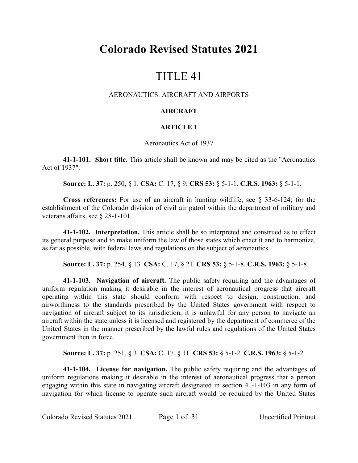# **Colorado Revised Statutes 2021**

# TITLE 41

## AERONAUTICS: AIRCRAFT AND AIRPORTS

# **AIRCRAFT**

# **ARTICLE 1**

## Aeronautics Act of 1937

**41-1-101. Short title.** This article shall be known and may be cited as the "Aeronautics Act of 1937".

**Source: L. 37:** p. 250, § 1. **CSA:** C. 17, § 9. **CRS 53:** § 5-1-1. **C.R.S. 1963:** § 5-1-1.

**Cross references:** For use of an aircraft in hunting wildlife, see § 33-6-124; for the establishment of the Colorado division of civil air patrol within the department of military and veterans affairs, see § 28-1-101.

**41-1-102. Interpretation.** This article shall be so interpreted and construed as to effect its general purpose and to make uniform the law of those states which enact it and to harmonize, as far as possible, with federal laws and regulations on the subject of aeronautics.

**Source: L. 37:** p. 254, § 13. **CSA:** C. 17, § 21. **CRS 53:** § 5-1-8. **C.R.S. 1963:** § 5-1-8.

**41-1-103. Navigation of aircraft.** The public safety requiring and the advantages of uniform regulation making it desirable in the interest of aeronautical progress that aircraft operating within this state should conform with respect to design, construction, and airworthiness to the standards prescribed by the United States government with respect to navigation of aircraft subject to its jurisdiction, it is unlawful for any person to navigate an aircraft within the state unless it is licensed and registered by the department of commerce of the United States in the manner prescribed by the lawful rules and regulations of the United States government then in force.

**Source: L. 37:** p. 251, § 3. **CSA:** C. 17, § 11. **CRS 53:** § 5-1-2. **C.R.S. 1963:** § 5-1-2.

**41-1-104. License for navigation.** The public safety requiring and the advantages of uniform regulations making it desirable in the interest of aeronautical progress that a person engaging within this state in navigating aircraft designated in section 41-1-103 in any form of navigation for which license to operate such aircraft would be required by the United States

Colorado Revised Statutes 2021 Page 1 of 31 Uncertified Printout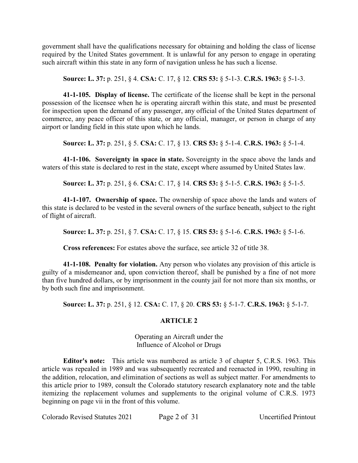government shall have the qualifications necessary for obtaining and holding the class of license required by the United States government. It is unlawful for any person to engage in operating such aircraft within this state in any form of navigation unless he has such a license.

**Source: L. 37:** p. 251, § 4. **CSA:** C. 17, § 12. **CRS 53:** § 5-1-3. **C.R.S. 1963:** § 5-1-3.

**41-1-105. Display of license.** The certificate of the license shall be kept in the personal possession of the licensee when he is operating aircraft within this state, and must be presented for inspection upon the demand of any passenger, any official of the United States department of commerce, any peace officer of this state, or any official, manager, or person in charge of any airport or landing field in this state upon which he lands.

**Source: L. 37:** p. 251, § 5. **CSA:** C. 17, § 13. **CRS 53:** § 5-1-4. **C.R.S. 1963:** § 5-1-4.

**41-1-106. Sovereignty in space in state.** Sovereignty in the space above the lands and waters of this state is declared to rest in the state, except where assumed by United States law.

**Source: L. 37:** p. 251, § 6. **CSA:** C. 17, § 14. **CRS 53:** § 5-1-5. **C.R.S. 1963:** § 5-1-5.

**41-1-107. Ownership of space.** The ownership of space above the lands and waters of this state is declared to be vested in the several owners of the surface beneath, subject to the right of flight of aircraft.

**Source: L. 37:** p. 251, § 7. **CSA:** C. 17, § 15. **CRS 53:** § 5-1-6. **C.R.S. 1963:** § 5-1-6.

**Cross references:** For estates above the surface, see article 32 of title 38.

**41-1-108. Penalty for violation.** Any person who violates any provision of this article is guilty of a misdemeanor and, upon conviction thereof, shall be punished by a fine of not more than five hundred dollars, or by imprisonment in the county jail for not more than six months, or by both such fine and imprisonment.

**Source: L. 37:** p. 251, § 12. **CSA:** C. 17, § 20. **CRS 53:** § 5-1-7. **C.R.S. 1963:** § 5-1-7.

# **ARTICLE 2**

Operating an Aircraft under the Influence of Alcohol or Drugs

**Editor's note:** This article was numbered as article 3 of chapter 5, C.R.S. 1963. This article was repealed in 1989 and was subsequently recreated and reenacted in 1990, resulting in the addition, relocation, and elimination of sections as well as subject matter. For amendments to this article prior to 1989, consult the Colorado statutory research explanatory note and the table itemizing the replacement volumes and supplements to the original volume of C.R.S. 1973 beginning on page vii in the front of this volume.

Colorado Revised Statutes 2021 Page 2 of 31 Uncertified Printout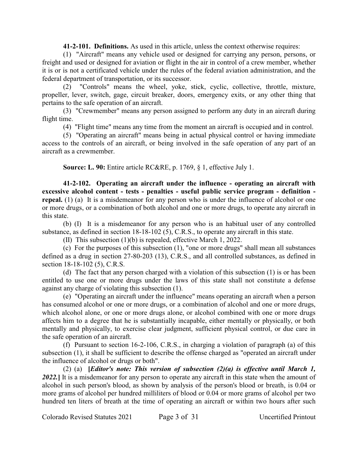**41-2-101. Definitions.** As used in this article, unless the context otherwise requires:

(1) "Aircraft" means any vehicle used or designed for carrying any person, persons, or freight and used or designed for aviation or flight in the air in control of a crew member, whether it is or is not a certificated vehicle under the rules of the federal aviation administration, and the federal department of transportation, or its successor.

(2) "Controls" means the wheel, yoke, stick, cyclic, collective, throttle, mixture, propeller, lever, switch, gage, circuit breaker, doors, emergency exits, or any other thing that pertains to the safe operation of an aircraft.

(3) "Crewmember" means any person assigned to perform any duty in an aircraft during flight time.

(4) "Flight time" means any time from the moment an aircraft is occupied and in control.

(5) "Operating an aircraft" means being in actual physical control or having immediate access to the controls of an aircraft, or being involved in the safe operation of any part of an aircraft as a crewmember.

**Source: L. 90:** Entire article RC&RE, p. 1769, § 1, effective July 1.

**41-2-102. Operating an aircraft under the influence - operating an aircraft with excessive alcohol content - tests - penalties - useful public service program - definition repeal.** (1) (a) It is a misdemeanor for any person who is under the influence of alcohol or one or more drugs, or a combination of both alcohol and one or more drugs, to operate any aircraft in this state.

(b) (I) It is a misdemeanor for any person who is an habitual user of any controlled substance, as defined in section 18-18-102 (5), C.R.S., to operate any aircraft in this state.

(II) This subsection (1)(b) is repealed, effective March 1, 2022.

(c) For the purposes of this subsection (1), "one or more drugs" shall mean all substances defined as a drug in section 27-80-203 (13), C.R.S., and all controlled substances, as defined in section 18-18-102 (5), C.R.S.

(d) The fact that any person charged with a violation of this subsection (1) is or has been entitled to use one or more drugs under the laws of this state shall not constitute a defense against any charge of violating this subsection (1).

(e) "Operating an aircraft under the influence" means operating an aircraft when a person has consumed alcohol or one or more drugs, or a combination of alcohol and one or more drugs, which alcohol alone, or one or more drugs alone, or alcohol combined with one or more drugs affects him to a degree that he is substantially incapable, either mentally or physically, or both mentally and physically, to exercise clear judgment, sufficient physical control, or due care in the safe operation of an aircraft.

(f) Pursuant to section 16-2-106, C.R.S., in charging a violation of paragraph (a) of this subsection (1), it shall be sufficient to describe the offense charged as "operated an aircraft under the influence of alcohol or drugs or both".

(2) (a) **[***Editor's note: This version of subsection (2)(a) is effective until March 1, 2022.***]** It is a misdemeanor for any person to operate any aircraft in this state when the amount of alcohol in such person's blood, as shown by analysis of the person's blood or breath, is 0.04 or more grams of alcohol per hundred milliliters of blood or 0.04 or more grams of alcohol per two hundred ten liters of breath at the time of operating an aircraft or within two hours after such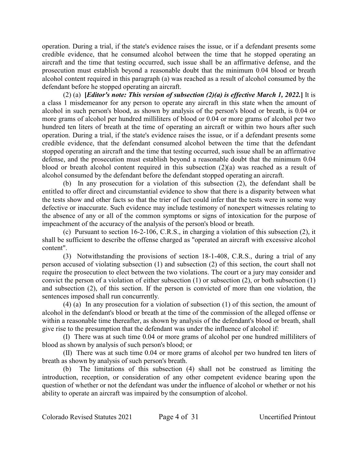operation. During a trial, if the state's evidence raises the issue, or if a defendant presents some credible evidence, that he consumed alcohol between the time that he stopped operating an aircraft and the time that testing occurred, such issue shall be an affirmative defense, and the prosecution must establish beyond a reasonable doubt that the minimum 0.04 blood or breath alcohol content required in this paragraph (a) was reached as a result of alcohol consumed by the defendant before he stopped operating an aircraft.

(2) (a) **[***Editor's note: This version of subsection (2)(a) is effective March 1, 2022.***]** It is a class 1 misdemeanor for any person to operate any aircraft in this state when the amount of alcohol in such person's blood, as shown by analysis of the person's blood or breath, is 0.04 or more grams of alcohol per hundred milliliters of blood or 0.04 or more grams of alcohol per two hundred ten liters of breath at the time of operating an aircraft or within two hours after such operation. During a trial, if the state's evidence raises the issue, or if a defendant presents some credible evidence, that the defendant consumed alcohol between the time that the defendant stopped operating an aircraft and the time that testing occurred, such issue shall be an affirmative defense, and the prosecution must establish beyond a reasonable doubt that the minimum 0.04 blood or breath alcohol content required in this subsection (2)(a) was reached as a result of alcohol consumed by the defendant before the defendant stopped operating an aircraft.

(b) In any prosecution for a violation of this subsection (2), the defendant shall be entitled to offer direct and circumstantial evidence to show that there is a disparity between what the tests show and other facts so that the trier of fact could infer that the tests were in some way defective or inaccurate. Such evidence may include testimony of nonexpert witnesses relating to the absence of any or all of the common symptoms or signs of intoxication for the purpose of impeachment of the accuracy of the analysis of the person's blood or breath.

(c) Pursuant to section 16-2-106, C.R.S., in charging a violation of this subsection (2), it shall be sufficient to describe the offense charged as "operated an aircraft with excessive alcohol content".

(3) Notwithstanding the provisions of section 18-1-408, C.R.S., during a trial of any person accused of violating subsection (1) and subsection (2) of this section, the court shall not require the prosecution to elect between the two violations. The court or a jury may consider and convict the person of a violation of either subsection (1) or subsection (2), or both subsection (1) and subsection (2), of this section. If the person is convicted of more than one violation, the sentences imposed shall run concurrently.

(4) (a) In any prosecution for a violation of subsection (1) of this section, the amount of alcohol in the defendant's blood or breath at the time of the commission of the alleged offense or within a reasonable time thereafter, as shown by analysis of the defendant's blood or breath, shall give rise to the presumption that the defendant was under the influence of alcohol if:

(I) There was at such time 0.04 or more grams of alcohol per one hundred milliliters of blood as shown by analysis of such person's blood; or

(II) There was at such time 0.04 or more grams of alcohol per two hundred ten liters of breath as shown by analysis of such person's breath.

(b) The limitations of this subsection (4) shall not be construed as limiting the introduction, reception, or consideration of any other competent evidence bearing upon the question of whether or not the defendant was under the influence of alcohol or whether or not his ability to operate an aircraft was impaired by the consumption of alcohol.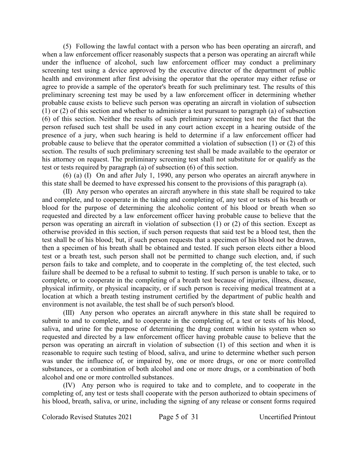(5) Following the lawful contact with a person who has been operating an aircraft, and when a law enforcement officer reasonably suspects that a person was operating an aircraft while under the influence of alcohol, such law enforcement officer may conduct a preliminary screening test using a device approved by the executive director of the department of public health and environment after first advising the operator that the operator may either refuse or agree to provide a sample of the operator's breath for such preliminary test. The results of this preliminary screening test may be used by a law enforcement officer in determining whether probable cause exists to believe such person was operating an aircraft in violation of subsection (1) or (2) of this section and whether to administer a test pursuant to paragraph (a) of subsection (6) of this section. Neither the results of such preliminary screening test nor the fact that the person refused such test shall be used in any court action except in a hearing outside of the presence of a jury, when such hearing is held to determine if a law enforcement officer had probable cause to believe that the operator committed a violation of subsection (1) or (2) of this section. The results of such preliminary screening test shall be made available to the operator or his attorney on request. The preliminary screening test shall not substitute for or qualify as the test or tests required by paragraph (a) of subsection (6) of this section.

(6) (a) (I) On and after July 1, 1990, any person who operates an aircraft anywhere in this state shall be deemed to have expressed his consent to the provisions of this paragraph (a).

(II) Any person who operates an aircraft anywhere in this state shall be required to take and complete, and to cooperate in the taking and completing of, any test or tests of his breath or blood for the purpose of determining the alcoholic content of his blood or breath when so requested and directed by a law enforcement officer having probable cause to believe that the person was operating an aircraft in violation of subsection (1) or (2) of this section. Except as otherwise provided in this section, if such person requests that said test be a blood test, then the test shall be of his blood; but, if such person requests that a specimen of his blood not be drawn, then a specimen of his breath shall be obtained and tested. If such person elects either a blood test or a breath test, such person shall not be permitted to change such election, and, if such person fails to take and complete, and to cooperate in the completing of, the test elected, such failure shall be deemed to be a refusal to submit to testing. If such person is unable to take, or to complete, or to cooperate in the completing of a breath test because of injuries, illness, disease, physical infirmity, or physical incapacity, or if such person is receiving medical treatment at a location at which a breath testing instrument certified by the department of public health and environment is not available, the test shall be of such person's blood.

(III) Any person who operates an aircraft anywhere in this state shall be required to submit to and to complete, and to cooperate in the completing of, a test or tests of his blood, saliva, and urine for the purpose of determining the drug content within his system when so requested and directed by a law enforcement officer having probable cause to believe that the person was operating an aircraft in violation of subsection (1) of this section and when it is reasonable to require such testing of blood, saliva, and urine to determine whether such person was under the influence of, or impaired by, one or more drugs, or one or more controlled substances, or a combination of both alcohol and one or more drugs, or a combination of both alcohol and one or more controlled substances.

(IV) Any person who is required to take and to complete, and to cooperate in the completing of, any test or tests shall cooperate with the person authorized to obtain specimens of his blood, breath, saliva, or urine, including the signing of any release or consent forms required

Colorado Revised Statutes 2021 Page 5 of 31 Uncertified Printout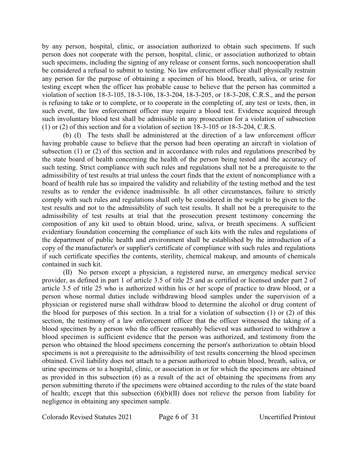by any person, hospital, clinic, or association authorized to obtain such specimens. If such person does not cooperate with the person, hospital, clinic, or association authorized to obtain such specimens, including the signing of any release or consent forms, such noncooperation shall be considered a refusal to submit to testing. No law enforcement officer shall physically restrain any person for the purpose of obtaining a specimen of his blood, breath, saliva, or urine for testing except when the officer has probable cause to believe that the person has committed a violation of section 18-3-105, 18-3-106, 18-3-204, 18-3-205, or 18-3-208, C.R.S., and the person is refusing to take or to complete, or to cooperate in the completing of, any test or tests, then, in such event, the law enforcement officer may require a blood test. Evidence acquired through such involuntary blood test shall be admissible in any prosecution for a violation of subsection (1) or (2) of this section and for a violation of section 18-3-105 or 18-3-204, C.R.S.

(b) (I) The tests shall be administered at the direction of a law enforcement officer having probable cause to believe that the person had been operating an aircraft in violation of subsection (1) or (2) of this section and in accordance with rules and regulations prescribed by the state board of health concerning the health of the person being tested and the accuracy of such testing. Strict compliance with such rules and regulations shall not be a prerequisite to the admissibility of test results at trial unless the court finds that the extent of noncompliance with a board of health rule has so impaired the validity and reliability of the testing method and the test results as to render the evidence inadmissible. In all other circumstances, failure to strictly comply with such rules and regulations shall only be considered in the weight to be given to the test results and not to the admissibility of such test results. It shall not be a prerequisite to the admissibility of test results at trial that the prosecution present testimony concerning the composition of any kit used to obtain blood, urine, saliva, or breath specimens. A sufficient evidentiary foundation concerning the compliance of such kits with the rules and regulations of the department of public health and environment shall be established by the introduction of a copy of the manufacturer's or supplier's certificate of compliance with such rules and regulations if such certificate specifies the contents, sterility, chemical makeup, and amounts of chemicals contained in such kit.

(II) No person except a physician, a registered nurse, an emergency medical service provider, as defined in part 1 of article 3.5 of title 25 and as certified or licensed under part 2 of article 3.5 of title 25 who is authorized within his or her scope of practice to draw blood, or a person whose normal duties include withdrawing blood samples under the supervision of a physician or registered nurse shall withdraw blood to determine the alcohol or drug content of the blood for purposes of this section. In a trial for a violation of subsection (1) or (2) of this section, the testimony of a law enforcement officer that the officer witnessed the taking of a blood specimen by a person who the officer reasonably believed was authorized to withdraw a blood specimen is sufficient evidence that the person was authorized, and testimony from the person who obtained the blood specimens concerning the person's authorization to obtain blood specimens is not a prerequisite to the admissibility of test results concerning the blood specimen obtained. Civil liability does not attach to a person authorized to obtain blood, breath, saliva, or urine specimens or to a hospital, clinic, or association in or for which the specimens are obtained as provided in this subsection (6) as a result of the act of obtaining the specimens from any person submitting thereto if the specimens were obtained according to the rules of the state board of health; except that this subsection  $(6)(b)(II)$  does not relieve the person from liability for negligence in obtaining any specimen sample.

Colorado Revised Statutes 2021 Page 6 of 31 Uncertified Printout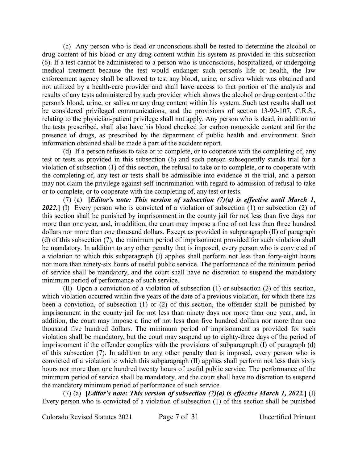(c) Any person who is dead or unconscious shall be tested to determine the alcohol or drug content of his blood or any drug content within his system as provided in this subsection (6). If a test cannot be administered to a person who is unconscious, hospitalized, or undergoing medical treatment because the test would endanger such person's life or health, the law enforcement agency shall be allowed to test any blood, urine, or saliva which was obtained and not utilized by a health-care provider and shall have access to that portion of the analysis and results of any tests administered by such provider which shows the alcohol or drug content of the person's blood, urine, or saliva or any drug content within his system. Such test results shall not be considered privileged communications, and the provisions of section 13-90-107, C.R.S., relating to the physician-patient privilege shall not apply. Any person who is dead, in addition to the tests prescribed, shall also have his blood checked for carbon monoxide content and for the presence of drugs, as prescribed by the department of public health and environment. Such information obtained shall be made a part of the accident report.

(d) If a person refuses to take or to complete, or to cooperate with the completing of, any test or tests as provided in this subsection (6) and such person subsequently stands trial for a violation of subsection (1) of this section, the refusal to take or to complete, or to cooperate with the completing of, any test or tests shall be admissible into evidence at the trial, and a person may not claim the privilege against self-incrimination with regard to admission of refusal to take or to complete, or to cooperate with the completing of, any test or tests.

(7) (a) **[***Editor's note: This version of subsection (7)(a) is effective until March 1, 2022.***]** (I) Every person who is convicted of a violation of subsection (1) or subsection (2) of this section shall be punished by imprisonment in the county jail for not less than five days nor more than one year, and, in addition, the court may impose a fine of not less than three hundred dollars nor more than one thousand dollars. Except as provided in subparagraph (II) of paragraph (d) of this subsection (7), the minimum period of imprisonment provided for such violation shall be mandatory. In addition to any other penalty that is imposed, every person who is convicted of a violation to which this subparagraph (I) applies shall perform not less than forty-eight hours nor more than ninety-six hours of useful public service. The performance of the minimum period of service shall be mandatory, and the court shall have no discretion to suspend the mandatory minimum period of performance of such service.

(II) Upon a conviction of a violation of subsection (1) or subsection (2) of this section, which violation occurred within five years of the date of a previous violation, for which there has been a conviction, of subsection (1) or (2) of this section, the offender shall be punished by imprisonment in the county jail for not less than ninety days nor more than one year, and, in addition, the court may impose a fine of not less than five hundred dollars nor more than one thousand five hundred dollars. The minimum period of imprisonment as provided for such violation shall be mandatory, but the court may suspend up to eighty-three days of the period of imprisonment if the offender complies with the provisions of subparagraph (I) of paragraph (d) of this subsection (7). In addition to any other penalty that is imposed, every person who is convicted of a violation to which this subparagraph (II) applies shall perform not less than sixty hours nor more than one hundred twenty hours of useful public service. The performance of the minimum period of service shall be mandatory, and the court shall have no discretion to suspend the mandatory minimum period of performance of such service.

(7) (a) **[***Editor's note: This version of subsection (7)(a) is effective March 1, 2022.***]** (I) Every person who is convicted of a violation of subsection (1) of this section shall be punished

Colorado Revised Statutes 2021 Page 7 of 31 Uncertified Printout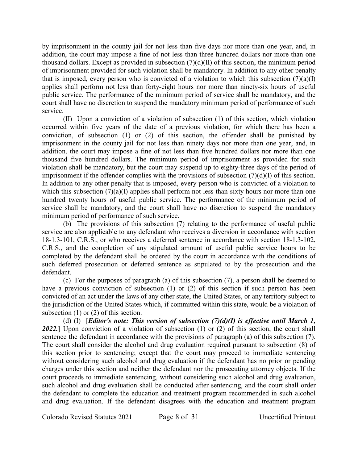by imprisonment in the county jail for not less than five days nor more than one year, and, in addition, the court may impose a fine of not less than three hundred dollars nor more than one thousand dollars. Except as provided in subsection  $(7)(d)(II)$  of this section, the minimum period of imprisonment provided for such violation shall be mandatory. In addition to any other penalty that is imposed, every person who is convicted of a violation to which this subsection  $(7)(a)(I)$ applies shall perform not less than forty-eight hours nor more than ninety-six hours of useful public service. The performance of the minimum period of service shall be mandatory, and the court shall have no discretion to suspend the mandatory minimum period of performance of such service.

(II) Upon a conviction of a violation of subsection (1) of this section, which violation occurred within five years of the date of a previous violation, for which there has been a conviction, of subsection (1) or (2) of this section, the offender shall be punished by imprisonment in the county jail for not less than ninety days nor more than one year, and, in addition, the court may impose a fine of not less than five hundred dollars nor more than one thousand five hundred dollars. The minimum period of imprisonment as provided for such violation shall be mandatory, but the court may suspend up to eighty-three days of the period of imprisonment if the offender complies with the provisions of subsection (7)(d)(I) of this section. In addition to any other penalty that is imposed, every person who is convicted of a violation to which this subsection  $(7)(a)(I)$  applies shall perform not less than sixty hours nor more than one hundred twenty hours of useful public service. The performance of the minimum period of service shall be mandatory, and the court shall have no discretion to suspend the mandatory minimum period of performance of such service.

(b) The provisions of this subsection (7) relating to the performance of useful public service are also applicable to any defendant who receives a diversion in accordance with section 18-1.3-101, C.R.S., or who receives a deferred sentence in accordance with section 18-1.3-102, C.R.S., and the completion of any stipulated amount of useful public service hours to be completed by the defendant shall be ordered by the court in accordance with the conditions of such deferred prosecution or deferred sentence as stipulated to by the prosecution and the defendant.

(c) For the purposes of paragraph (a) of this subsection (7), a person shall be deemed to have a previous conviction of subsection (1) or (2) of this section if such person has been convicted of an act under the laws of any other state, the United States, or any territory subject to the jurisdiction of the United States which, if committed within this state, would be a violation of subsection (1) or (2) of this section.

(d) (I) **[***Editor's note: This version of subsection (7)(d)(I) is effective until March 1, 2022.***]** Upon conviction of a violation of subsection (1) or (2) of this section, the court shall sentence the defendant in accordance with the provisions of paragraph (a) of this subsection (7). The court shall consider the alcohol and drug evaluation required pursuant to subsection (8) of this section prior to sentencing; except that the court may proceed to immediate sentencing without considering such alcohol and drug evaluation if the defendant has no prior or pending charges under this section and neither the defendant nor the prosecuting attorney objects. If the court proceeds to immediate sentencing, without considering such alcohol and drug evaluation, such alcohol and drug evaluation shall be conducted after sentencing, and the court shall order the defendant to complete the education and treatment program recommended in such alcohol and drug evaluation. If the defendant disagrees with the education and treatment program

Colorado Revised Statutes 2021 Page 8 of 31 Uncertified Printout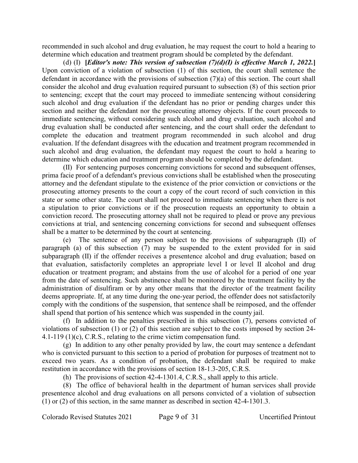recommended in such alcohol and drug evaluation, he may request the court to hold a hearing to determine which education and treatment program should be completed by the defendant.

(d) (I) **[***Editor's note: This version of subsection (7)(d)(I) is effective March 1, 2022.***]** Upon conviction of a violation of subsection (1) of this section, the court shall sentence the defendant in accordance with the provisions of subsection (7)(a) of this section. The court shall consider the alcohol and drug evaluation required pursuant to subsection (8) of this section prior to sentencing; except that the court may proceed to immediate sentencing without considering such alcohol and drug evaluation if the defendant has no prior or pending charges under this section and neither the defendant nor the prosecuting attorney objects. If the court proceeds to immediate sentencing, without considering such alcohol and drug evaluation, such alcohol and drug evaluation shall be conducted after sentencing, and the court shall order the defendant to complete the education and treatment program recommended in such alcohol and drug evaluation. If the defendant disagrees with the education and treatment program recommended in such alcohol and drug evaluation, the defendant may request the court to hold a hearing to determine which education and treatment program should be completed by the defendant.

(II) For sentencing purposes concerning convictions for second and subsequent offenses, prima facie proof of a defendant's previous convictions shall be established when the prosecuting attorney and the defendant stipulate to the existence of the prior conviction or convictions or the prosecuting attorney presents to the court a copy of the court record of such conviction in this state or some other state. The court shall not proceed to immediate sentencing when there is not a stipulation to prior convictions or if the prosecution requests an opportunity to obtain a conviction record. The prosecuting attorney shall not be required to plead or prove any previous convictions at trial, and sentencing concerning convictions for second and subsequent offenses shall be a matter to be determined by the court at sentencing.

(e) The sentence of any person subject to the provisions of subparagraph (II) of paragraph (a) of this subsection (7) may be suspended to the extent provided for in said subparagraph (II) if the offender receives a presentence alcohol and drug evaluation; based on that evaluation, satisfactorily completes an appropriate level I or level II alcohol and drug education or treatment program; and abstains from the use of alcohol for a period of one year from the date of sentencing. Such abstinence shall be monitored by the treatment facility by the administration of disulfiram or by any other means that the director of the treatment facility deems appropriate. If, at any time during the one-year period, the offender does not satisfactorily comply with the conditions of the suspension, that sentence shall be reimposed, and the offender shall spend that portion of his sentence which was suspended in the county jail.

(f) In addition to the penalties prescribed in this subsection (7), persons convicted of violations of subsection (1) or (2) of this section are subject to the costs imposed by section 24- 4.1-119 (1)(c), C.R.S., relating to the crime victim compensation fund.

(g) In addition to any other penalty provided by law, the court may sentence a defendant who is convicted pursuant to this section to a period of probation for purposes of treatment not to exceed two years. As a condition of probation, the defendant shall be required to make restitution in accordance with the provisions of section 18-1.3-205, C.R.S.

(h) The provisions of section 42-4-1301.4, C.R.S., shall apply to this article.

(8) The office of behavioral health in the department of human services shall provide presentence alcohol and drug evaluations on all persons convicted of a violation of subsection (1) or (2) of this section, in the same manner as described in section 42-4-1301.3.

Colorado Revised Statutes 2021 Page 9 of 31 Uncertified Printout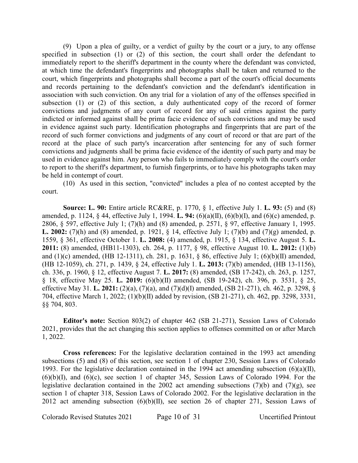(9) Upon a plea of guilty, or a verdict of guilty by the court or a jury, to any offense specified in subsection (1) or (2) of this section, the court shall order the defendant to immediately report to the sheriff's department in the county where the defendant was convicted, at which time the defendant's fingerprints and photographs shall be taken and returned to the court, which fingerprints and photographs shall become a part of the court's official documents and records pertaining to the defendant's conviction and the defendant's identification in association with such conviction. On any trial for a violation of any of the offenses specified in subsection (1) or (2) of this section, a duly authenticated copy of the record of former convictions and judgments of any court of record for any of said crimes against the party indicted or informed against shall be prima facie evidence of such convictions and may be used in evidence against such party. Identification photographs and fingerprints that are part of the record of such former convictions and judgments of any court of record or that are part of the record at the place of such party's incarceration after sentencing for any of such former convictions and judgments shall be prima facie evidence of the identity of such party and may be used in evidence against him. Any person who fails to immediately comply with the court's order to report to the sheriff's department, to furnish fingerprints, or to have his photographs taken may be held in contempt of court.

(10) As used in this section, "convicted" includes a plea of no contest accepted by the court.

**Source: L. 90:** Entire article RC&RE, p. 1770, § 1, effective July 1. **L. 93:** (5) and (8) amended, p. 1124, § 44, effective July 1, 1994. **L. 94:** (6)(a)(II), (6)(b)(I), and (6)(c) amended, p. 2806, § 597, effective July 1; (7)(h) and (8) amended, p. 2571, § 97, effective January 1, 1995. **L. 2002:** (7)(h) and (8) amended, p. 1921, § 14, effective July 1; (7)(b) and (7)(g) amended, p. 1559, § 361, effective October 1. **L. 2008:** (4) amended, p. 1915, § 134, effective August 5. **L. 2011:** (8) amended, (HB11-1303), ch. 264, p. 1177, § 98, effective August 10. **L. 2012:** (1)(b) and (1)(c) amended, (HB 12-1311), ch. 281, p. 1631, § 86, effective July 1; (6)(b)(II) amended, (HB 12-1059), ch. 271, p. 1439, § 24, effective July 1. **L. 2013:** (7)(b) amended, (HB 13-1156), ch. 336, p. 1960, § 12, effective August 7. **L. 2017:** (8) amended, (SB 17-242), ch. 263, p. 1257, § 18, effective May 25. **L. 2019:** (6)(b)(II) amended, (SB 19-242), ch. 396, p. 3531, § 25, effective May 31. **L. 2021:** (2)(a), (7)(a), and (7)(d)(I) amended, (SB 21-271), ch. 462, p. 3298, § 704, effective March 1, 2022; (1)(b)(II) added by revision, (SB 21-271), ch. 462, pp. 3298, 3331, §§ 704, 803.

**Editor's note:** Section 803(2) of chapter 462 (SB 21-271), Session Laws of Colorado 2021, provides that the act changing this section applies to offenses committed on or after March 1, 2022.

**Cross references:** For the legislative declaration contained in the 1993 act amending subsections (5) and (8) of this section, see section 1 of chapter 230, Session Laws of Colorado 1993. For the legislative declaration contained in the 1994 act amending subsection  $(6)(a)(II)$ ,  $(6)(b)(I)$ , and  $(6)(c)$ , see section 1 of chapter 345, Session Laws of Colorado 1994. For the legislative declaration contained in the 2002 act amending subsections  $(7)(b)$  and  $(7)(g)$ , see section 1 of chapter 318, Session Laws of Colorado 2002. For the legislative declaration in the 2012 act amending subsection  $(6)(b)(II)$ , see section 26 of chapter 271, Session Laws of

Colorado Revised Statutes 2021 Page 10 of 31 Uncertified Printout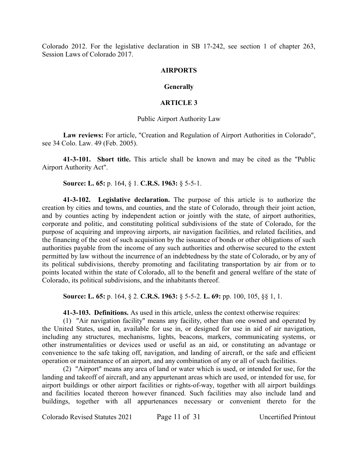Colorado 2012. For the legislative declaration in SB 17-242, see section 1 of chapter 263, Session Laws of Colorado 2017.

#### **AIRPORTS**

#### **Generally**

#### **ARTICLE 3**

#### Public Airport Authority Law

**Law reviews:** For article, "Creation and Regulation of Airport Authorities in Colorado", see 34 Colo. Law. 49 (Feb. 2005).

**41-3-101. Short title.** This article shall be known and may be cited as the "Public Airport Authority Act".

#### **Source: L. 65:** p. 164, § 1. **C.R.S. 1963:** § 5-5-1.

**41-3-102. Legislative declaration.** The purpose of this article is to authorize the creation by cities and towns, and counties, and the state of Colorado, through their joint action, and by counties acting by independent action or jointly with the state, of airport authorities, corporate and politic, and constituting political subdivisions of the state of Colorado, for the purpose of acquiring and improving airports, air navigation facilities, and related facilities, and the financing of the cost of such acquisition by the issuance of bonds or other obligations of such authorities payable from the income of any such authorities and otherwise secured to the extent permitted by law without the incurrence of an indebtedness by the state of Colorado, or by any of its political subdivisions, thereby promoting and facilitating transportation by air from or to points located within the state of Colorado, all to the benefit and general welfare of the state of Colorado, its political subdivisions, and the inhabitants thereof.

**Source: L. 65:** p. 164, § 2. **C.R.S. 1963:** § 5-5-2. **L. 69:** pp. 100, 105, §§ 1, 1.

**41-3-103. Definitions.** As used in this article, unless the context otherwise requires:

(1) "Air navigation facility" means any facility, other than one owned and operated by the United States, used in, available for use in, or designed for use in aid of air navigation, including any structures, mechanisms, lights, beacons, markers, communicating systems, or other instrumentalities or devices used or useful as an aid, or constituting an advantage or convenience to the safe taking off, navigation, and landing of aircraft, or the safe and efficient operation or maintenance of an airport, and any combination of any or all of such facilities.

(2) "Airport" means any area of land or water which is used, or intended for use, for the landing and takeoff of aircraft, and any appurtenant areas which are used, or intended for use, for airport buildings or other airport facilities or rights-of-way, together with all airport buildings and facilities located thereon however financed. Such facilities may also include land and buildings, together with all appurtenances necessary or convenient thereto for the

Colorado Revised Statutes 2021 Page 11 of 31 Uncertified Printout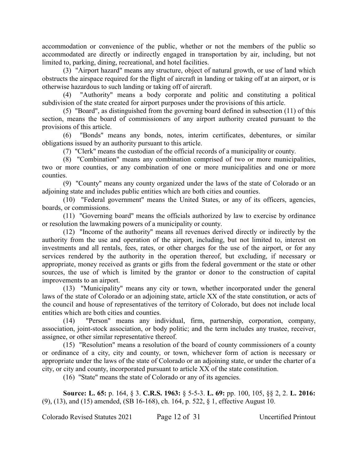accommodation or convenience of the public, whether or not the members of the public so accommodated are directly or indirectly engaged in transportation by air, including, but not limited to, parking, dining, recreational, and hotel facilities.

(3) "Airport hazard" means any structure, object of natural growth, or use of land which obstructs the airspace required for the flight of aircraft in landing or taking off at an airport, or is otherwise hazardous to such landing or taking off of aircraft.

(4) "Authority" means a body corporate and politic and constituting a political subdivision of the state created for airport purposes under the provisions of this article.

(5) "Board", as distinguished from the governing board defined in subsection (11) of this section, means the board of commissioners of any airport authority created pursuant to the provisions of this article.

(6) "Bonds" means any bonds, notes, interim certificates, debentures, or similar obligations issued by an authority pursuant to this article.

(7) "Clerk" means the custodian of the official records of a municipality or county.

(8) "Combination" means any combination comprised of two or more municipalities, two or more counties, or any combination of one or more municipalities and one or more counties.

(9) "County" means any county organized under the laws of the state of Colorado or an adjoining state and includes public entities which are both cities and counties.

(10) "Federal government" means the United States, or any of its officers, agencies, boards, or commissions.

(11) "Governing board" means the officials authorized by law to exercise by ordinance or resolution the lawmaking powers of a municipality or county.

(12) "Income of the authority" means all revenues derived directly or indirectly by the authority from the use and operation of the airport, including, but not limited to, interest on investments and all rentals, fees, rates, or other charges for the use of the airport, or for any services rendered by the authority in the operation thereof, but excluding, if necessary or appropriate, money received as grants or gifts from the federal government or the state or other sources, the use of which is limited by the grantor or donor to the construction of capital improvements to an airport.

(13) "Municipality" means any city or town, whether incorporated under the general laws of the state of Colorado or an adjoining state, article XX of the state constitution, or acts of the council and house of representatives of the territory of Colorado, but does not include local entities which are both cities and counties.

(14) "Person" means any individual, firm, partnership, corporation, company, association, joint-stock association, or body politic; and the term includes any trustee, receiver, assignee, or other similar representative thereof.

(15) "Resolution" means a resolution of the board of county commissioners of a county or ordinance of a city, city and county, or town, whichever form of action is necessary or appropriate under the laws of the state of Colorado or an adjoining state, or under the charter of a city, or city and county, incorporated pursuant to article XX of the state constitution.

(16) "State" means the state of Colorado or any of its agencies.

**Source: L. 65:** p. 164, § 3. **C.R.S. 1963:** § 5-5-3. **L. 69:** pp. 100, 105, §§ 2, 2. **L. 2016:** (9), (13), and (15) amended, (SB 16-168), ch. 164, p. 522, § 1, effective August 10.

Colorado Revised Statutes 2021 Page 12 of 31 Uncertified Printout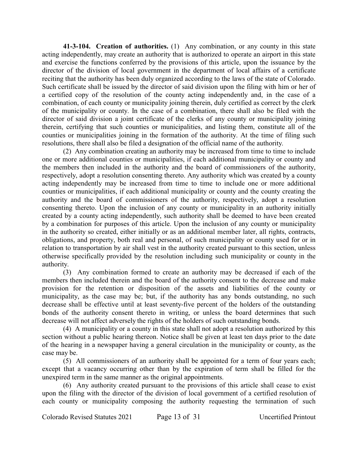**41-3-104. Creation of authorities.** (1) Any combination, or any county in this state acting independently, may create an authority that is authorized to operate an airport in this state and exercise the functions conferred by the provisions of this article, upon the issuance by the director of the division of local government in the department of local affairs of a certificate reciting that the authority has been duly organized according to the laws of the state of Colorado. Such certificate shall be issued by the director of said division upon the filing with him or her of a certified copy of the resolution of the county acting independently and, in the case of a combination, of each county or municipality joining therein, duly certified as correct by the clerk of the municipality or county. In the case of a combination, there shall also be filed with the director of said division a joint certificate of the clerks of any county or municipality joining therein, certifying that such counties or municipalities, and listing them, constitute all of the counties or municipalities joining in the formation of the authority. At the time of filing such resolutions, there shall also be filed a designation of the official name of the authority.

(2) Any combination creating an authority may be increased from time to time to include one or more additional counties or municipalities, if each additional municipality or county and the members then included in the authority and the board of commissioners of the authority, respectively, adopt a resolution consenting thereto. Any authority which was created by a county acting independently may be increased from time to time to include one or more additional counties or municipalities, if each additional municipality or county and the county creating the authority and the board of commissioners of the authority, respectively, adopt a resolution consenting thereto. Upon the inclusion of any county or municipality in an authority initially created by a county acting independently, such authority shall be deemed to have been created by a combination for purposes of this article. Upon the inclusion of any county or municipality in the authority so created, either initially or as an additional member later, all rights, contracts, obligations, and property, both real and personal, of such municipality or county used for or in relation to transportation by air shall vest in the authority created pursuant to this section, unless otherwise specifically provided by the resolution including such municipality or county in the authority.

(3) Any combination formed to create an authority may be decreased if each of the members then included therein and the board of the authority consent to the decrease and make provision for the retention or disposition of the assets and liabilities of the county or municipality, as the case may be; but, if the authority has any bonds outstanding, no such decrease shall be effective until at least seventy-five percent of the holders of the outstanding bonds of the authority consent thereto in writing, or unless the board determines that such decrease will not affect adversely the rights of the holders of such outstanding bonds.

(4) A municipality or a county in this state shall not adopt a resolution authorized by this section without a public hearing thereon. Notice shall be given at least ten days prior to the date of the hearing in a newspaper having a general circulation in the municipality or county, as the case may be.

(5) All commissioners of an authority shall be appointed for a term of four years each; except that a vacancy occurring other than by the expiration of term shall be filled for the unexpired term in the same manner as the original appointments.

(6) Any authority created pursuant to the provisions of this article shall cease to exist upon the filing with the director of the division of local government of a certified resolution of each county or municipality composing the authority requesting the termination of such

Colorado Revised Statutes 2021 Page 13 of 31 Uncertified Printout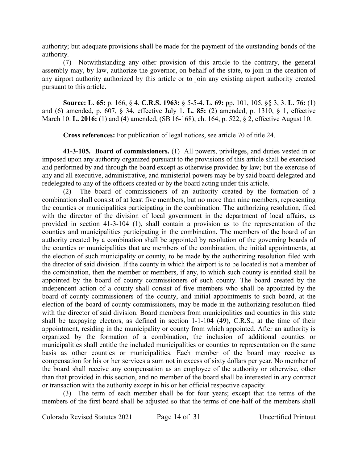authority; but adequate provisions shall be made for the payment of the outstanding bonds of the authority.

(7) Notwithstanding any other provision of this article to the contrary, the general assembly may, by law, authorize the governor, on behalf of the state, to join in the creation of any airport authority authorized by this article or to join any existing airport authority created pursuant to this article.

**Source: L. 65:** p. 166, § 4. **C.R.S. 1963:** § 5-5-4. **L. 69:** pp. 101, 105, §§ 3, 3. **L. 76:** (1) and (6) amended, p. 607, § 34, effective July 1. **L. 85:** (2) amended, p. 1310, § 1, effective March 10. **L. 2016:** (1) and (4) amended, (SB 16-168), ch. 164, p. 522, § 2, effective August 10.

**Cross references:** For publication of legal notices, see article 70 of title 24.

**41-3-105. Board of commissioners.** (1) All powers, privileges, and duties vested in or imposed upon any authority organized pursuant to the provisions of this article shall be exercised and performed by and through the board except as otherwise provided by law; but the exercise of any and all executive, administrative, and ministerial powers may be by said board delegated and redelegated to any of the officers created or by the board acting under this article.

(2) The board of commissioners of an authority created by the formation of a combination shall consist of at least five members, but no more than nine members, representing the counties or municipalities participating in the combination. The authorizing resolution, filed with the director of the division of local government in the department of local affairs, as provided in section 41-3-104 (1), shall contain a provision as to the representation of the counties and municipalities participating in the combination. The members of the board of an authority created by a combination shall be appointed by resolution of the governing boards of the counties or municipalities that are members of the combination, the initial appointments, at the election of such municipality or county, to be made by the authorizing resolution filed with the director of said division. If the county in which the airport is to be located is not a member of the combination, then the member or members, if any, to which such county is entitled shall be appointed by the board of county commissioners of such county. The board created by the independent action of a county shall consist of five members who shall be appointed by the board of county commissioners of the county, and initial appointments to such board, at the election of the board of county commissioners, may be made in the authorizing resolution filed with the director of said division. Board members from municipalities and counties in this state shall be taxpaying electors, as defined in section 1-1-104 (49), C.R.S., at the time of their appointment, residing in the municipality or county from which appointed. After an authority is organized by the formation of a combination, the inclusion of additional counties or municipalities shall entitle the included municipalities or counties to representation on the same basis as other counties or municipalities. Each member of the board may receive as compensation for his or her services a sum not in excess of sixty dollars per year. No member of the board shall receive any compensation as an employee of the authority or otherwise, other than that provided in this section, and no member of the board shall be interested in any contract or transaction with the authority except in his or her official respective capacity.

(3) The term of each member shall be for four years; except that the terms of the members of the first board shall be adjusted so that the terms of one-half of the members shall

Colorado Revised Statutes 2021 Page 14 of 31 Uncertified Printout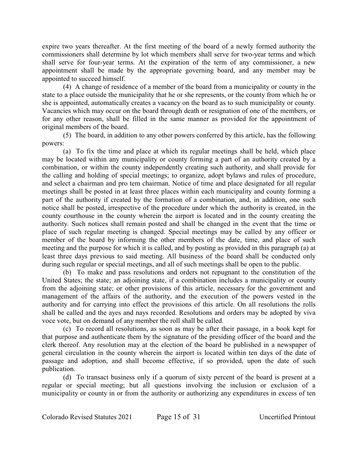expire two years thereafter. At the first meeting of the board of a newly formed authority the commissioners shall determine by lot which members shall serve for two-year terms and which shall serve for four-year terms. At the expiration of the term of any commissioner, a new appointment shall be made by the appropriate governing board, and any member may be appointed to succeed himself.

(4) A change of residence of a member of the board from a municipality or county in the state to a place outside the municipality that he or she represents, or the county from which he or she is appointed, automatically creates a vacancy on the board as to such municipality or county. Vacancies which may occur on the board through death or resignation of one of the members, or for any other reason, shall be filled in the same manner as provided for the appointment of original members of the board.

(5) The board, in addition to any other powers conferred by this article, has the following powers:

(a) To fix the time and place at which its regular meetings shall be held, which place may be located within any municipality or county forming a part of an authority created by a combination, or within the county independently creating such authority, and shall provide for the calling and holding of special meetings; to organize, adopt bylaws and rules of procedure, and select a chairman and pro tem chairman. Notice of time and place designated for all regular meetings shall be posted in at least three places within each municipality and county forming a part of the authority if created by the formation of a combination, and, in addition, one such notice shall be posted, irrespective of the procedure under which the authority is created, in the county courthouse in the county wherein the airport is located and in the county creating the authority. Such notices shall remain posted and shall be changed in the event that the time or place of such regular meeting is changed. Special meetings may be called by any officer or member of the board by informing the other members of the date, time, and place of such meeting and the purpose for which it is called, and by posting as provided in this paragraph (a) at least three days previous to said meeting. All business of the board shall be conducted only during such regular or special meetings, and all of such meetings shall be open to the public.

(b) To make and pass resolutions and orders not repugnant to the constitution of the United States; the state; an adjoining state, if a combination includes a municipality or county from the adjoining state; or other provisions of this article, necessary for the government and management of the affairs of the authority, and the execution of the powers vested in the authority and for carrying into effect the provisions of this article. On all resolutions the rolls shall be called and the ayes and nays recorded. Resolutions and orders may be adopted by viva voce vote, but on demand of any member the roll shall be called.

(c) To record all resolutions, as soon as may be after their passage, in a book kept for that purpose and authenticate them by the signature of the presiding officer of the board and the clerk thereof. Any resolution may at the election of the board be published in a newspaper of general circulation in the county wherein the airport is located within ten days of the date of passage and adoption, and shall become effective, if so provided, upon the date of such publication.

(d) To transact business only if a quorum of sixty percent of the board is present at a regular or special meeting; but all questions involving the inclusion or exclusion of a municipality or county in or from the authority or authorizing any expenditures in excess of ten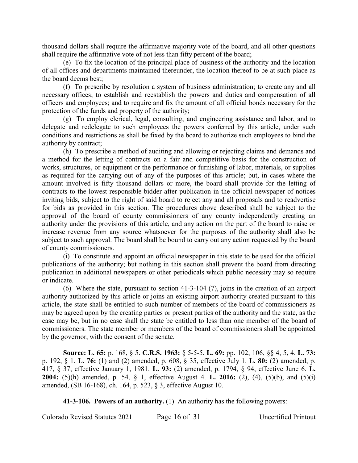thousand dollars shall require the affirmative majority vote of the board, and all other questions shall require the affirmative vote of not less than fifty percent of the board;

(e) To fix the location of the principal place of business of the authority and the location of all offices and departments maintained thereunder, the location thereof to be at such place as the board deems best;

(f) To prescribe by resolution a system of business administration; to create any and all necessary offices; to establish and reestablish the powers and duties and compensation of all officers and employees; and to require and fix the amount of all official bonds necessary for the protection of the funds and property of the authority;

(g) To employ clerical, legal, consulting, and engineering assistance and labor, and to delegate and redelegate to such employees the powers conferred by this article, under such conditions and restrictions as shall be fixed by the board to authorize such employees to bind the authority by contract;

(h) To prescribe a method of auditing and allowing or rejecting claims and demands and a method for the letting of contracts on a fair and competitive basis for the construction of works, structures, or equipment or the performance or furnishing of labor, materials, or supplies as required for the carrying out of any of the purposes of this article; but, in cases where the amount involved is fifty thousand dollars or more, the board shall provide for the letting of contracts to the lowest responsible bidder after publication in the official newspaper of notices inviting bids, subject to the right of said board to reject any and all proposals and to readvertise for bids as provided in this section. The procedures above described shall be subject to the approval of the board of county commissioners of any county independently creating an authority under the provisions of this article, and any action on the part of the board to raise or increase revenue from any source whatsoever for the purposes of the authority shall also be subject to such approval. The board shall be bound to carry out any action requested by the board of county commissioners.

(i) To constitute and appoint an official newspaper in this state to be used for the official publications of the authority; but nothing in this section shall prevent the board from directing publication in additional newspapers or other periodicals which public necessity may so require or indicate.

(6) Where the state, pursuant to section 41-3-104 (7), joins in the creation of an airport authority authorized by this article or joins an existing airport authority created pursuant to this article, the state shall be entitled to such number of members of the board of commissioners as may be agreed upon by the creating parties or present parties of the authority and the state, as the case may be, but in no case shall the state be entitled to less than one member of the board of commissioners. The state member or members of the board of commissioners shall be appointed by the governor, with the consent of the senate.

**Source: L. 65:** p. 168, § 5. **C.R.S. 1963:** § 5-5-5. **L. 69:** pp. 102, 106, §§ 4, 5, 4. **L. 73:** p. 192, § 1. **L. 76:** (1) and (2) amended, p. 608, § 35, effective July 1. **L. 80:** (2) amended, p. 417, § 37, effective January 1, 1981. **L. 93:** (2) amended, p. 1794, § 94, effective June 6. **L. 2004:** (5)(h) amended, p. 54, § 1, effective August 4. **L. 2016:** (2), (4), (5)(b), and (5)(i) amended, (SB 16-168), ch. 164, p. 523, § 3, effective August 10.

**41-3-106. Powers of an authority.** (1) An authority has the following powers:

Colorado Revised Statutes 2021 Page 16 of 31 Uncertified Printout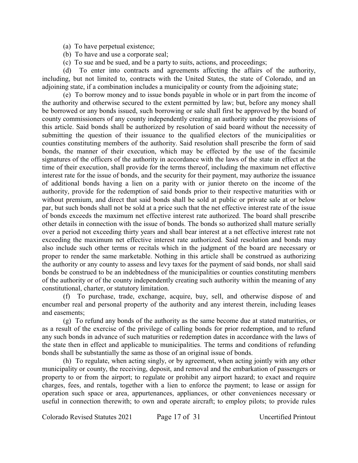- (a) To have perpetual existence;
- (b) To have and use a corporate seal;
- (c) To sue and be sued, and be a party to suits, actions, and proceedings;

(d) To enter into contracts and agreements affecting the affairs of the authority, including, but not limited to, contracts with the United States, the state of Colorado, and an adjoining state, if a combination includes a municipality or county from the adjoining state;

(e) To borrow money and to issue bonds payable in whole or in part from the income of the authority and otherwise secured to the extent permitted by law; but, before any money shall be borrowed or any bonds issued, such borrowing or sale shall first be approved by the board of county commissioners of any county independently creating an authority under the provisions of this article. Said bonds shall be authorized by resolution of said board without the necessity of submitting the question of their issuance to the qualified electors of the municipalities or counties constituting members of the authority. Said resolution shall prescribe the form of said bonds, the manner of their execution, which may be effected by the use of the facsimile signatures of the officers of the authority in accordance with the laws of the state in effect at the time of their execution, shall provide for the terms thereof, including the maximum net effective interest rate for the issue of bonds, and the security for their payment, may authorize the issuance of additional bonds having a lien on a parity with or junior thereto on the income of the authority, provide for the redemption of said bonds prior to their respective maturities with or without premium, and direct that said bonds shall be sold at public or private sale at or below par, but such bonds shall not be sold at a price such that the net effective interest rate of the issue of bonds exceeds the maximum net effective interest rate authorized. The board shall prescribe other details in connection with the issue of bonds. The bonds so authorized shall mature serially over a period not exceeding thirty years and shall bear interest at a net effective interest rate not exceeding the maximum net effective interest rate authorized. Said resolution and bonds may also include such other terms or recitals which in the judgment of the board are necessary or proper to render the same marketable. Nothing in this article shall be construed as authorizing the authority or any county to assess and levy taxes for the payment of said bonds, nor shall said bonds be construed to be an indebtedness of the municipalities or counties constituting members of the authority or of the county independently creating such authority within the meaning of any constitutional, charter, or statutory limitation.

(f) To purchase, trade, exchange, acquire, buy, sell, and otherwise dispose of and encumber real and personal property of the authority and any interest therein, including leases and easements;

(g) To refund any bonds of the authority as the same become due at stated maturities, or as a result of the exercise of the privilege of calling bonds for prior redemption, and to refund any such bonds in advance of such maturities or redemption dates in accordance with the laws of the state then in effect and applicable to municipalities. The terms and conditions of refunding bonds shall be substantially the same as those of an original issue of bonds.

(h) To regulate, when acting singly, or by agreement, when acting jointly with any other municipality or county, the receiving, deposit, and removal and the embarkation of passengers or property to or from the airport; to regulate or prohibit any airport hazard; to exact and require charges, fees, and rentals, together with a lien to enforce the payment; to lease or assign for operation such space or area, appurtenances, appliances, or other conveniences necessary or useful in connection therewith; to own and operate aircraft; to employ pilots; to provide rules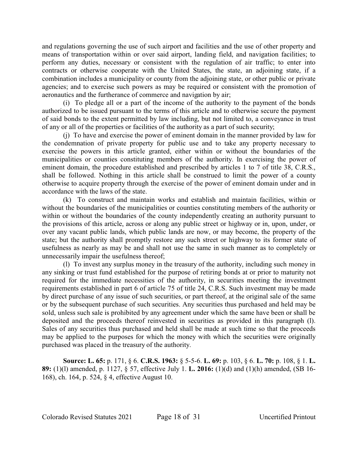and regulations governing the use of such airport and facilities and the use of other property and means of transportation within or over said airport, landing field, and navigation facilities; to perform any duties, necessary or consistent with the regulation of air traffic; to enter into contracts or otherwise cooperate with the United States, the state, an adjoining state, if a combination includes a municipality or county from the adjoining state, or other public or private agencies; and to exercise such powers as may be required or consistent with the promotion of aeronautics and the furtherance of commerce and navigation by air;

(i) To pledge all or a part of the income of the authority to the payment of the bonds authorized to be issued pursuant to the terms of this article and to otherwise secure the payment of said bonds to the extent permitted by law including, but not limited to, a conveyance in trust of any or all of the properties or facilities of the authority as a part of such security;

(j) To have and exercise the power of eminent domain in the manner provided by law for the condemnation of private property for public use and to take any property necessary to exercise the powers in this article granted, either within or without the boundaries of the municipalities or counties constituting members of the authority. In exercising the power of eminent domain, the procedure established and prescribed by articles 1 to 7 of title 38, C.R.S., shall be followed. Nothing in this article shall be construed to limit the power of a county otherwise to acquire property through the exercise of the power of eminent domain under and in accordance with the laws of the state.

(k) To construct and maintain works and establish and maintain facilities, within or without the boundaries of the municipalities or counties constituting members of the authority or within or without the boundaries of the county independently creating an authority pursuant to the provisions of this article, across or along any public street or highway or in, upon, under, or over any vacant public lands, which public lands are now, or may become, the property of the state; but the authority shall promptly restore any such street or highway to its former state of usefulness as nearly as may be and shall not use the same in such manner as to completely or unnecessarily impair the usefulness thereof;

(l) To invest any surplus money in the treasury of the authority, including such money in any sinking or trust fund established for the purpose of retiring bonds at or prior to maturity not required for the immediate necessities of the authority, in securities meeting the investment requirements established in part 6 of article 75 of title 24, C.R.S. Such investment may be made by direct purchase of any issue of such securities, or part thereof, at the original sale of the same or by the subsequent purchase of such securities. Any securities thus purchased and held may be sold, unless such sale is prohibited by any agreement under which the same have been or shall be deposited and the proceeds thereof reinvested in securities as provided in this paragraph (l). Sales of any securities thus purchased and held shall be made at such time so that the proceeds may be applied to the purposes for which the money with which the securities were originally purchased was placed in the treasury of the authority.

**Source: L. 65:** p. 171, § 6. **C.R.S. 1963:** § 5-5-6. **L. 69:** p. 103, § 6. **L. 70:** p. 108, § 1. **L. 89:** (1)(l) amended, p. 1127, § 57, effective July 1. **L. 2016:** (1)(d) and (1)(h) amended, (SB 16- 168), ch. 164, p. 524, § 4, effective August 10.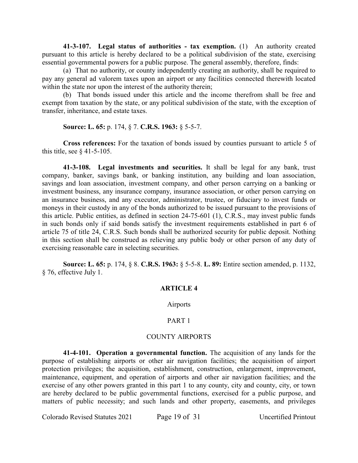**41-3-107. Legal status of authorities - tax exemption.** (1) An authority created pursuant to this article is hereby declared to be a political subdivision of the state, exercising essential governmental powers for a public purpose. The general assembly, therefore, finds:

(a) That no authority, or county independently creating an authority, shall be required to pay any general ad valorem taxes upon an airport or any facilities connected therewith located within the state nor upon the interest of the authority therein;

(b) That bonds issued under this article and the income therefrom shall be free and exempt from taxation by the state, or any political subdivision of the state, with the exception of transfer, inheritance, and estate taxes.

**Source: L. 65:** p. 174, § 7. **C.R.S. 1963:** § 5-5-7.

**Cross references:** For the taxation of bonds issued by counties pursuant to article 5 of this title, see  $§$  41-5-105.

**41-3-108. Legal investments and securities.** It shall be legal for any bank, trust company, banker, savings bank, or banking institution, any building and loan association, savings and loan association, investment company, and other person carrying on a banking or investment business, any insurance company, insurance association, or other person carrying on an insurance business, and any executor, administrator, trustee, or fiduciary to invest funds or moneys in their custody in any of the bonds authorized to be issued pursuant to the provisions of this article. Public entities, as defined in section 24-75-601 (1), C.R.S., may invest public funds in such bonds only if said bonds satisfy the investment requirements established in part 6 of article 75 of title 24, C.R.S. Such bonds shall be authorized security for public deposit. Nothing in this section shall be construed as relieving any public body or other person of any duty of exercising reasonable care in selecting securities.

**Source: L. 65:** p. 174, § 8. **C.R.S. 1963:** § 5-5-8. **L. 89:** Entire section amended, p. 1132, § 76, effective July 1.

## **ARTICLE 4**

## Airports

#### PART 1

#### COUNTY AIRPORTS

**41-4-101. Operation a governmental function.** The acquisition of any lands for the purpose of establishing airports or other air navigation facilities; the acquisition of airport protection privileges; the acquisition, establishment, construction, enlargement, improvement, maintenance, equipment, and operation of airports and other air navigation facilities; and the exercise of any other powers granted in this part 1 to any county, city and county, city, or town are hereby declared to be public governmental functions, exercised for a public purpose, and matters of public necessity; and such lands and other property, easements, and privileges

Colorado Revised Statutes 2021 Page 19 of 31 Uncertified Printout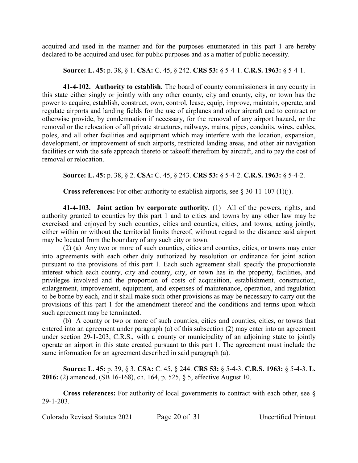acquired and used in the manner and for the purposes enumerated in this part 1 are hereby declared to be acquired and used for public purposes and as a matter of public necessity.

**Source: L. 45:** p. 38, § 1. **CSA:** C. 45, § 242. **CRS 53:** § 5-4-1. **C.R.S. 1963:** § 5-4-1.

**41-4-102. Authority to establish.** The board of county commissioners in any county in this state either singly or jointly with any other county, city and county, city, or town has the power to acquire, establish, construct, own, control, lease, equip, improve, maintain, operate, and regulate airports and landing fields for the use of airplanes and other aircraft and to contract or otherwise provide, by condemnation if necessary, for the removal of any airport hazard, or the removal or the relocation of all private structures, railways, mains, pipes, conduits, wires, cables, poles, and all other facilities and equipment which may interfere with the location, expansion, development, or improvement of such airports, restricted landing areas, and other air navigation facilities or with the safe approach thereto or takeoff therefrom by aircraft, and to pay the cost of removal or relocation.

**Source: L. 45:** p. 38, § 2. **CSA:** C. 45, § 243. **CRS 53:** § 5-4-2. **C.R.S. 1963:** § 5-4-2.

**Cross references:** For other authority to establish airports, see § 30-11-107 (1)(j).

**41-4-103. Joint action by corporate authority.** (1) All of the powers, rights, and authority granted to counties by this part 1 and to cities and towns by any other law may be exercised and enjoyed by such counties, cities and counties, cities, and towns, acting jointly, either within or without the territorial limits thereof, without regard to the distance said airport may be located from the boundary of any such city or town.

(2) (a) Any two or more of such counties, cities and counties, cities, or towns may enter into agreements with each other duly authorized by resolution or ordinance for joint action pursuant to the provisions of this part 1. Each such agreement shall specify the proportionate interest which each county, city and county, city, or town has in the property, facilities, and privileges involved and the proportion of costs of acquisition, establishment, construction, enlargement, improvement, equipment, and expenses of maintenance, operation, and regulation to be borne by each, and it shall make such other provisions as may be necessary to carry out the provisions of this part 1 for the amendment thereof and the conditions and terms upon which such agreement may be terminated.

(b) A county or two or more of such counties, cities and counties, cities, or towns that entered into an agreement under paragraph (a) of this subsection (2) may enter into an agreement under section 29-1-203, C.R.S., with a county or municipality of an adjoining state to jointly operate an airport in this state created pursuant to this part 1. The agreement must include the same information for an agreement described in said paragraph (a).

**Source: L. 45:** p. 39, § 3. **CSA:** C. 45, § 244. **CRS 53:** § 5-4-3. **C.R.S. 1963:** § 5-4-3. **L. 2016:** (2) amended, (SB 16-168), ch. 164, p. 525, § 5, effective August 10.

**Cross references:** For authority of local governments to contract with each other, see § 29-1-203.

Colorado Revised Statutes 2021 Page 20 of 31 Uncertified Printout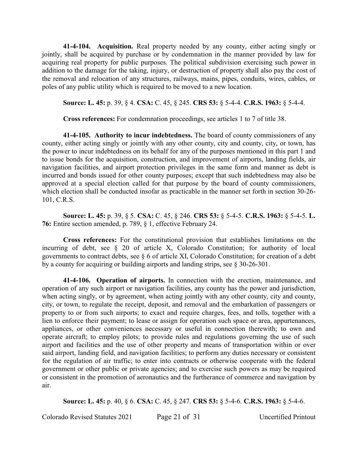**41-4-104. Acquisition.** Real property needed by any county, either acting singly or jointly, shall be acquired by purchase or by condemnation in the manner provided by law for acquiring real property for public purposes. The political subdivision exercising such power in addition to the damage for the taking, injury, or destruction of property shall also pay the cost of the removal and relocation of any structures, railways, mains, pipes, conduits, wires, cables, or poles of any public utility which is required to be moved to a new location.

**Source: L. 45:** p. 39, § 4. **CSA:** C. 45, § 245. **CRS 53:** § 5-4-4. **C.R.S. 1963:** § 5-4-4.

**Cross references:** For condemnation proceedings, see articles 1 to 7 of title 38.

**41-4-105. Authority to incur indebtedness.** The board of county commissioners of any county, either acting singly or jointly with any other county, city and county, city, or town, has the power to incur indebtedness on its behalf for any of the purposes mentioned in this part 1 and to issue bonds for the acquisition, construction, and improvement of airports, landing fields, air navigation facilities, and airport protection privileges in the same form and manner as debt is incurred and bonds issued for other county purposes; except that such indebtedness may also be approved at a special election called for that purpose by the board of county commissioners, which election shall be conducted insofar as practicable in the manner set forth in section 30-26-101, C.R.S.

**Source: L. 45:** p. 39, § 5. **CSA:** C. 45, § 246. **CRS 53:** § 5-4-5. **C.R.S. 1963:** § 5-4-5. **L. 76:** Entire section amended, p. 789, § 1, effective February 24.

**Cross references:** For the constitutional provision that establishes limitations on the incurring of debt, see § 20 of article X, Colorado Constitution; for authority of local governments to contract debts, see § 6 of article XI, Colorado Constitution; for creation of a debt by a county for acquiring or building airports and landing strips, see § 30-26-301.

**41-4-106. Operation of airports.** In connection with the erection, maintenance, and operation of any such airport or navigation facilities, any county has the power and jurisdiction, when acting singly, or by agreement, when acting jointly with any other county, city and county, city, or town, to regulate the receipt, deposit, and removal and the embarkation of passengers or property to or from such airports; to exact and require charges, fees, and tolls, together with a lien to enforce their payment; to lease or assign for operation such space or area, appurtenances, appliances, or other conveniences necessary or useful in connection therewith; to own and operate aircraft; to employ pilots; to provide rules and regulations governing the use of such airport and facilities and the use of other property and means of transportation within or over said airport, landing field, and navigation facilities; to perform any duties necessary or consistent for the regulation of air traffic; to enter into contracts or otherwise cooperate with the federal government or other public or private agencies; and to exercise such powers as may be required or consistent in the promotion of aeronautics and the furtherance of commerce and navigation by air.

**Source: L. 45:** p. 40, § 6. **CSA:** C. 45, § 247. **CRS 53:** § 5-4-6. **C.R.S. 1963:** § 5-4-6.

Colorado Revised Statutes 2021 Page 21 of 31 Uncertified Printout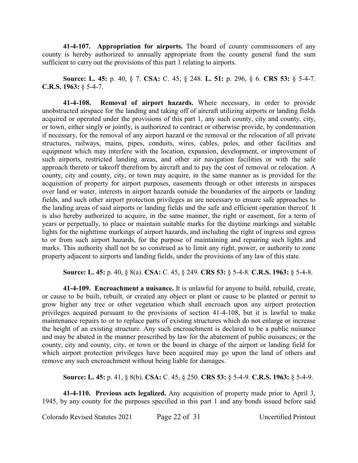**41-4-107. Appropriation for airports.** The board of county commissioners of any county is hereby authorized to annually appropriate from the county general fund the sum sufficient to carry out the provisions of this part 1 relating to airports.

**Source: L. 45:** p. 40, § 7. **CSA:** C. 45, § 248. **L. 51:** p. 296, § 6. **CRS 53:** § 5-4-7. **C.R.S. 1963:** § 5-4-7.

**41-4-108. Removal of airport hazards.** Where necessary, in order to provide unobstructed airspace for the landing and taking off of aircraft utilizing airports or landing fields acquired or operated under the provisions of this part 1, any such county, city and county, city, or town, either singly or jointly, is authorized to contract or otherwise provide, by condemnation if necessary, for the removal of any airport hazard or the removal or the relocation of all private structures, railways, mains, pipes, conduits, wires, cables, poles, and other facilities and equipment which may interfere with the location, expansion, development, or improvement of such airports, restricted landing areas, and other air navigation facilities or with the safe approach thereto or takeoff therefrom by aircraft and to pay the cost of removal or relocation. A county, city and county, city, or town may acquire, in the same manner as is provided for the acquisition of property for airport purposes, easements through or other interests in airspaces over land or water, interests in airport hazards outside the boundaries of the airports or landing fields, and such other airport protection privileges as are necessary to ensure safe approaches to the landing areas of said airports or landing fields and the safe and efficient operation thereof. It is also hereby authorized to acquire, in the same manner, the right or easement, for a term of years or perpetually, to place or maintain suitable marks for the daytime markings and suitable lights for the nighttime markings of airport hazards, and including the right of ingress and egress to or from such airport hazards, for the purpose of maintaining and repairing such lights and marks. This authority shall not be so construed as to limit any right, power, or authority to zone property adjacent to airports and landing fields, under the provisions of any law of this state.

**Source: L. 45:** p. 40, § 8(a). **CSA:** C. 45, § 249. **CRS 53:** § 5-4-8. **C.R.S. 1963:** § 5-4-8.

**41-4-109. Encroachment a nuisance.** It is unlawful for anyone to build, rebuild, create, or cause to be built, rebuilt, or created any object or plant or cause to be planted or permit to grow higher any tree or other vegetation which shall encroach upon any airport protection privileges acquired pursuant to the provisions of section 41-4-108, but it is lawful to make maintenance repairs to or to replace parts of existing structures which do not enlarge or increase the height of an existing structure. Any such encroachment is declared to be a public nuisance and may be abated in the manner prescribed by law for the abatement of public nuisances; or the county, city and county, city, or town or the board in charge of the airport or landing field for which airport protection privileges have been acquired may go upon the land of others and remove any such encroachment without being liable for damages.

# **Source: L. 45:** p. 41, § 8(b). **CSA:** C. 45, § 250. **CRS 53:** § 5-4-9. **C.R.S. 1963:** § 5-4-9.

**41-4-110. Previous acts legalized.** Any acquisition of property made prior to April 3, 1945, by any county for the purposes specified in this part 1 and any bonds issued before said

Colorado Revised Statutes 2021 Page 22 of 31 Uncertified Printout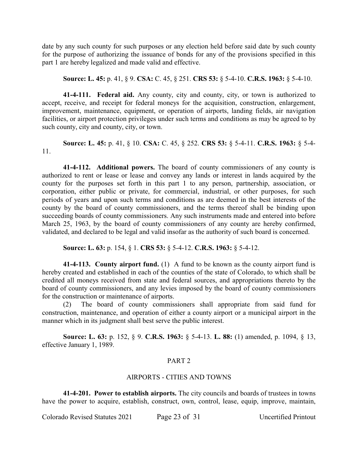date by any such county for such purposes or any election held before said date by such county for the purpose of authorizing the issuance of bonds for any of the provisions specified in this part 1 are hereby legalized and made valid and effective.

## **Source: L. 45:** p. 41, § 9. **CSA:** C. 45, § 251. **CRS 53:** § 5-4-10. **C.R.S. 1963:** § 5-4-10.

**41-4-111. Federal aid.** Any county, city and county, city, or town is authorized to accept, receive, and receipt for federal moneys for the acquisition, construction, enlargement, improvement, maintenance, equipment, or operation of airports, landing fields, air navigation facilities, or airport protection privileges under such terms and conditions as may be agreed to by such county, city and county, city, or town.

**Source: L. 45:** p. 41, § 10. **CSA:** C. 45, § 252. **CRS 53:** § 5-4-11. **C.R.S. 1963:** § 5-4- 11.

**41-4-112. Additional powers.** The board of county commissioners of any county is authorized to rent or lease or lease and convey any lands or interest in lands acquired by the county for the purposes set forth in this part 1 to any person, partnership, association, or corporation, either public or private, for commercial, industrial, or other purposes, for such periods of years and upon such terms and conditions as are deemed in the best interests of the county by the board of county commissioners, and the terms thereof shall be binding upon succeeding boards of county commissioners. Any such instruments made and entered into before March 25, 1963, by the board of county commissioners of any county are hereby confirmed, validated, and declared to be legal and valid insofar as the authority of such board is concerned.

**Source: L. 63:** p. 154, § 1. **CRS 53:** § 5-4-12. **C.R.S. 1963:** § 5-4-12.

**41-4-113. County airport fund.** (1) A fund to be known as the county airport fund is hereby created and established in each of the counties of the state of Colorado, to which shall be credited all moneys received from state and federal sources, and appropriations thereto by the board of county commissioners, and any levies imposed by the board of county commissioners for the construction or maintenance of airports.

(2) The board of county commissioners shall appropriate from said fund for construction, maintenance, and operation of either a county airport or a municipal airport in the manner which in its judgment shall best serve the public interest.

**Source: L. 63:** p. 152, § 9. **C.R.S. 1963:** § 5-4-13. **L. 88:** (1) amended, p. 1094, § 13, effective January 1, 1989.

# PART 2

# AIRPORTS - CITIES AND TOWNS

**41-4-201. Power to establish airports.** The city councils and boards of trustees in towns have the power to acquire, establish, construct, own, control, lease, equip, improve, maintain,

Colorado Revised Statutes 2021 Page 23 of 31 Uncertified Printout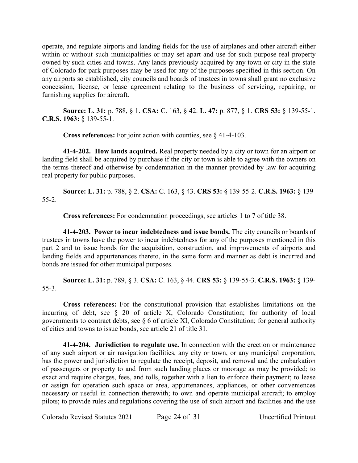operate, and regulate airports and landing fields for the use of airplanes and other aircraft either within or without such municipalities or may set apart and use for such purpose real property owned by such cities and towns. Any lands previously acquired by any town or city in the state of Colorado for park purposes may be used for any of the purposes specified in this section. On any airports so established, city councils and boards of trustees in towns shall grant no exclusive concession, license, or lease agreement relating to the business of servicing, repairing, or furnishing supplies for aircraft.

**Source: L. 31:** p. 788, § 1. **CSA:** C. 163, § 42. **L. 47:** p. 877, § 1. **CRS 53:** § 139-55-1. **C.R.S. 1963:** § 139-55-1.

**Cross references:** For joint action with counties, see § 41-4-103.

**41-4-202. How lands acquired.** Real property needed by a city or town for an airport or landing field shall be acquired by purchase if the city or town is able to agree with the owners on the terms thereof and otherwise by condemnation in the manner provided by law for acquiring real property for public purposes.

**Source: L. 31:** p. 788, § 2. **CSA:** C. 163, § 43. **CRS 53:** § 139-55-2. **C.R.S. 1963:** § 139- 55-2.

**Cross references:** For condemnation proceedings, see articles 1 to 7 of title 38.

**41-4-203. Power to incur indebtedness and issue bonds.** The city councils or boards of trustees in towns have the power to incur indebtedness for any of the purposes mentioned in this part 2 and to issue bonds for the acquisition, construction, and improvements of airports and landing fields and appurtenances thereto, in the same form and manner as debt is incurred and bonds are issued for other municipal purposes.

**Source: L. 31:** p. 789, § 3. **CSA:** C. 163, § 44. **CRS 53:** § 139-55-3. **C.R.S. 1963:** § 139- 55-3.

**Cross references:** For the constitutional provision that establishes limitations on the incurring of debt, see  $\S$  20 of article X, Colorado Constitution; for authority of local governments to contract debts, see § 6 of article XI, Colorado Constitution; for general authority of cities and towns to issue bonds, see article 21 of title 31.

**41-4-204. Jurisdiction to regulate use.** In connection with the erection or maintenance of any such airport or air navigation facilities, any city or town, or any municipal corporation, has the power and jurisdiction to regulate the receipt, deposit, and removal and the embarkation of passengers or property to and from such landing places or moorage as may be provided; to exact and require charges, fees, and tolls, together with a lien to enforce their payment; to lease or assign for operation such space or area, appurtenances, appliances, or other conveniences necessary or useful in connection therewith; to own and operate municipal aircraft; to employ pilots; to provide rules and regulations covering the use of such airport and facilities and the use

Colorado Revised Statutes 2021 Page 24 of 31 Uncertified Printout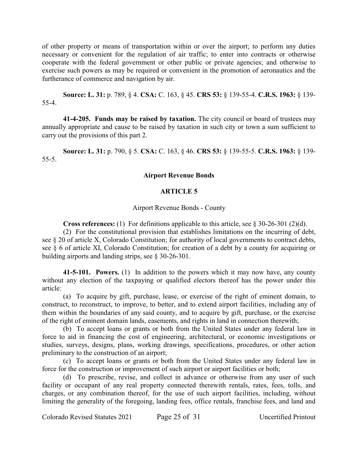of other property or means of transportation within or over the airport; to perform any duties necessary or convenient for the regulation of air traffic; to enter into contracts or otherwise cooperate with the federal government or other public or private agencies; and otherwise to exercise such powers as may be required or convenient in the promotion of aeronautics and the furtherance of commerce and navigation by air.

**Source: L. 31:** p. 789, § 4. **CSA:** C. 163, § 45. **CRS 53:** § 139-55-4. **C.R.S. 1963:** § 139- 55-4.

**41-4-205. Funds may be raised by taxation.** The city council or board of trustees may annually appropriate and cause to be raised by taxation in such city or town a sum sufficient to carry out the provisions of this part 2.

**Source: L. 31:** p. 790, § 5. **CSA:** C. 163, § 46. **CRS 53:** § 139-55-5. **C.R.S. 1963:** § 139- 55-5.

## **Airport Revenue Bonds**

## **ARTICLE 5**

## Airport Revenue Bonds - County

**Cross references:** (1) For definitions applicable to this article, see § 30-26-301 (2)(d).

(2) For the constitutional provision that establishes limitations on the incurring of debt, see § 20 of article X, Colorado Constitution; for authority of local governments to contract debts, see § 6 of article XI, Colorado Constitution; for creation of a debt by a county for acquiring or building airports and landing strips, see § 30-26-301.

**41-5-101. Powers.** (1) In addition to the powers which it may now have, any county without any election of the taxpaying or qualified electors thereof has the power under this article:

(a) To acquire by gift, purchase, lease, or exercise of the right of eminent domain, to construct, to reconstruct, to improve, to better, and to extend airport facilities, including any of them within the boundaries of any said county, and to acquire by gift, purchase, or the exercise of the right of eminent domain lands, easements, and rights in land in connection therewith;

(b) To accept loans or grants or both from the United States under any federal law in force to aid in financing the cost of engineering, architectural, or economic investigations or studies, surveys, designs, plans, working drawings, specifications, procedures, or other action preliminary to the construction of an airport;

(c) To accept loans or grants or both from the United States under any federal law in force for the construction or improvement of such airport or airport facilities or both;

(d) To prescribe, revise, and collect in advance or otherwise from any user of such facility or occupant of any real property connected therewith rentals, rates, fees, tolls, and charges, or any combination thereof, for the use of such airport facilities, including, without limiting the generality of the foregoing, landing fees, office rentals, franchise fees, and land and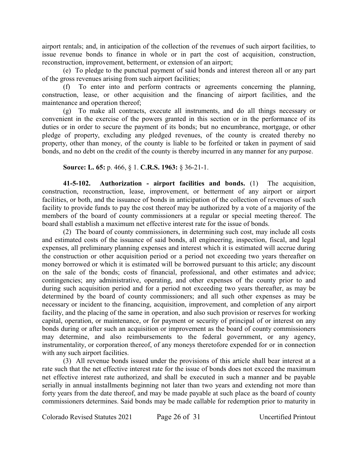airport rentals; and, in anticipation of the collection of the revenues of such airport facilities, to issue revenue bonds to finance in whole or in part the cost of acquisition, construction, reconstruction, improvement, betterment, or extension of an airport;

(e) To pledge to the punctual payment of said bonds and interest thereon all or any part of the gross revenues arising from such airport facilities;

(f) To enter into and perform contracts or agreements concerning the planning, construction, lease, or other acquisition and the financing of airport facilities, and the maintenance and operation thereof;

(g) To make all contracts, execute all instruments, and do all things necessary or convenient in the exercise of the powers granted in this section or in the performance of its duties or in order to secure the payment of its bonds; but no encumbrance, mortgage, or other pledge of property, excluding any pledged revenues, of the county is created thereby no property, other than money, of the county is liable to be forfeited or taken in payment of said bonds, and no debt on the credit of the county is thereby incurred in any manner for any purpose.

# **Source: L. 65:** p. 466, § 1. **C.R.S. 1963:** § 36-21-1.

**41-5-102. Authorization - airport facilities and bonds.** (1) The acquisition, construction, reconstruction, lease, improvement, or betterment of any airport or airport facilities, or both, and the issuance of bonds in anticipation of the collection of revenues of such facility to provide funds to pay the cost thereof may be authorized by a vote of a majority of the members of the board of county commissioners at a regular or special meeting thereof. The board shall establish a maximum net effective interest rate for the issue of bonds.

(2) The board of county commissioners, in determining such cost, may include all costs and estimated costs of the issuance of said bonds, all engineering, inspection, fiscal, and legal expenses, all preliminary planning expenses and interest which it is estimated will accrue during the construction or other acquisition period or a period not exceeding two years thereafter on money borrowed or which it is estimated will be borrowed pursuant to this article; any discount on the sale of the bonds; costs of financial, professional, and other estimates and advice; contingencies; any administrative, operating, and other expenses of the county prior to and during such acquisition period and for a period not exceeding two years thereafter, as may be determined by the board of county commissioners; and all such other expenses as may be necessary or incident to the financing, acquisition, improvement, and completion of any airport facility, and the placing of the same in operation, and also such provision or reserves for working capital, operation, or maintenance, or for payment or security of principal of or interest on any bonds during or after such an acquisition or improvement as the board of county commissioners may determine, and also reimbursements to the federal government, or any agency, instrumentality, or corporation thereof, of any moneys theretofore expended for or in connection with any such airport facilities.

(3) All revenue bonds issued under the provisions of this article shall bear interest at a rate such that the net effective interest rate for the issue of bonds does not exceed the maximum net effective interest rate authorized, and shall be executed in such a manner and be payable serially in annual installments beginning not later than two years and extending not more than forty years from the date thereof, and may be made payable at such place as the board of county commissioners determines. Said bonds may be made callable for redemption prior to maturity in

Colorado Revised Statutes 2021 Page 26 of 31 Uncertified Printout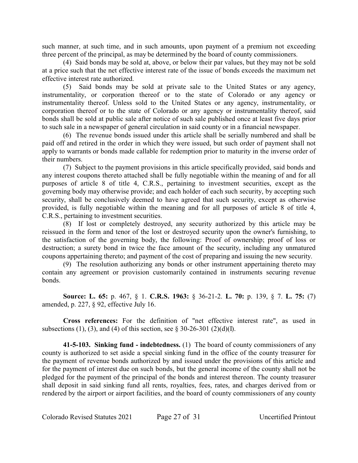such manner, at such time, and in such amounts, upon payment of a premium not exceeding three percent of the principal, as may be determined by the board of county commissioners.

(4) Said bonds may be sold at, above, or below their par values, but they may not be sold at a price such that the net effective interest rate of the issue of bonds exceeds the maximum net effective interest rate authorized.

(5) Said bonds may be sold at private sale to the United States or any agency, instrumentality, or corporation thereof or to the state of Colorado or any agency or instrumentality thereof. Unless sold to the United States or any agency, instrumentality, or corporation thereof or to the state of Colorado or any agency or instrumentality thereof, said bonds shall be sold at public sale after notice of such sale published once at least five days prior to such sale in a newspaper of general circulation in said county or in a financial newspaper.

(6) The revenue bonds issued under this article shall be serially numbered and shall be paid off and retired in the order in which they were issued, but such order of payment shall not apply to warrants or bonds made callable for redemption prior to maturity in the inverse order of their numbers.

(7) Subject to the payment provisions in this article specifically provided, said bonds and any interest coupons thereto attached shall be fully negotiable within the meaning of and for all purposes of article 8 of title 4, C.R.S., pertaining to investment securities, except as the governing body may otherwise provide; and each holder of each such security, by accepting such security, shall be conclusively deemed to have agreed that such security, except as otherwise provided, is fully negotiable within the meaning and for all purposes of article 8 of title 4, C.R.S., pertaining to investment securities.

(8) If lost or completely destroyed, any security authorized by this article may be reissued in the form and tenor of the lost or destroyed security upon the owner's furnishing, to the satisfaction of the governing body, the following: Proof of ownership; proof of loss or destruction; a surety bond in twice the face amount of the security, including any unmatured coupons appertaining thereto; and payment of the cost of preparing and issuing the new security.

(9) The resolution authorizing any bonds or other instrument appertaining thereto may contain any agreement or provision customarily contained in instruments securing revenue bonds.

**Source: L. 65:** p. 467, § 1. **C.R.S. 1963:** § 36-21-2. **L. 70:** p. 139, § 7. **L. 75:** (7) amended, p. 227, § 92, effective July 16.

**Cross references:** For the definition of "net effective interest rate", as used in subsections (1), (3), and (4) of this section, see  $\S 30-26-301$  (2)(d)(I).

**41-5-103. Sinking fund - indebtedness.** (1) The board of county commissioners of any county is authorized to set aside a special sinking fund in the office of the county treasurer for the payment of revenue bonds authorized by and issued under the provisions of this article and for the payment of interest due on such bonds, but the general income of the county shall not be pledged for the payment of the principal of the bonds and interest thereon. The county treasurer shall deposit in said sinking fund all rents, royalties, fees, rates, and charges derived from or rendered by the airport or airport facilities, and the board of county commissioners of any county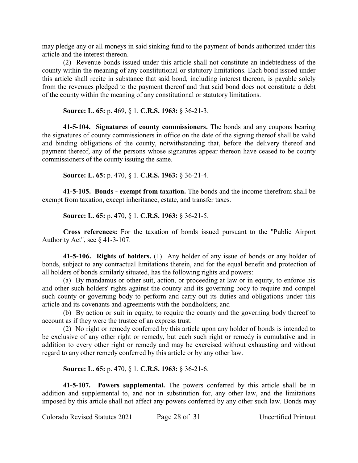may pledge any or all moneys in said sinking fund to the payment of bonds authorized under this article and the interest thereon.

(2) Revenue bonds issued under this article shall not constitute an indebtedness of the county within the meaning of any constitutional or statutory limitations. Each bond issued under this article shall recite in substance that said bond, including interest thereon, is payable solely from the revenues pledged to the payment thereof and that said bond does not constitute a debt of the county within the meaning of any constitutional or statutory limitations.

**Source: L. 65:** p. 469, § 1. **C.R.S. 1963:** § 36-21-3.

**41-5-104. Signatures of county commissioners.** The bonds and any coupons bearing the signatures of county commissioners in office on the date of the signing thereof shall be valid and binding obligations of the county, notwithstanding that, before the delivery thereof and payment thereof, any of the persons whose signatures appear thereon have ceased to be county commissioners of the county issuing the same.

**Source: L. 65:** p. 470, § 1. **C.R.S. 1963:** § 36-21-4.

**41-5-105. Bonds - exempt from taxation.** The bonds and the income therefrom shall be exempt from taxation, except inheritance, estate, and transfer taxes.

**Source: L. 65:** p. 470, § 1. **C.R.S. 1963:** § 36-21-5.

**Cross references:** For the taxation of bonds issued pursuant to the "Public Airport Authority Act", see § 41-3-107.

**41-5-106. Rights of holders.** (1) Any holder of any issue of bonds or any holder of bonds, subject to any contractual limitations therein, and for the equal benefit and protection of all holders of bonds similarly situated, has the following rights and powers:

(a) By mandamus or other suit, action, or proceeding at law or in equity, to enforce his and other such holders' rights against the county and its governing body to require and compel such county or governing body to perform and carry out its duties and obligations under this article and its covenants and agreements with the bondholders; and

(b) By action or suit in equity, to require the county and the governing body thereof to account as if they were the trustee of an express trust.

(2) No right or remedy conferred by this article upon any holder of bonds is intended to be exclusive of any other right or remedy, but each such right or remedy is cumulative and in addition to every other right or remedy and may be exercised without exhausting and without regard to any other remedy conferred by this article or by any other law.

**Source: L. 65:** p. 470, § 1. **C.R.S. 1963:** § 36-21-6.

**41-5-107. Powers supplemental.** The powers conferred by this article shall be in addition and supplemental to, and not in substitution for, any other law, and the limitations imposed by this article shall not affect any powers conferred by any other such law. Bonds may

Colorado Revised Statutes 2021 Page 28 of 31 Uncertified Printout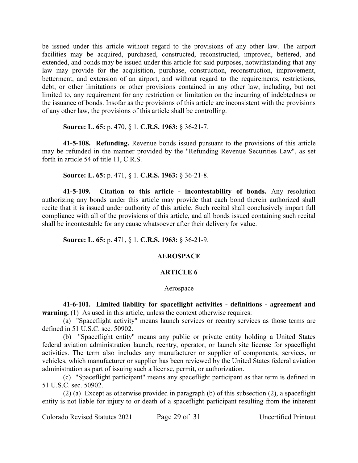be issued under this article without regard to the provisions of any other law. The airport facilities may be acquired, purchased, constructed, reconstructed, improved, bettered, and extended, and bonds may be issued under this article for said purposes, notwithstanding that any law may provide for the acquisition, purchase, construction, reconstruction, improvement, betterment, and extension of an airport, and without regard to the requirements, restrictions, debt, or other limitations or other provisions contained in any other law, including, but not limited to, any requirement for any restriction or limitation on the incurring of indebtedness or the issuance of bonds. Insofar as the provisions of this article are inconsistent with the provisions of any other law, the provisions of this article shall be controlling.

**Source: L. 65:** p. 470, § 1. **C.R.S. 1963:** § 36-21-7.

**41-5-108. Refunding.** Revenue bonds issued pursuant to the provisions of this article may be refunded in the manner provided by the "Refunding Revenue Securities Law", as set forth in article 54 of title 11, C.R.S.

**Source: L. 65:** p. 471, § 1. **C.R.S. 1963:** § 36-21-8.

**41-5-109. Citation to this article - incontestability of bonds.** Any resolution authorizing any bonds under this article may provide that each bond therein authorized shall recite that it is issued under authority of this article. Such recital shall conclusively impart full compliance with all of the provisions of this article, and all bonds issued containing such recital shall be incontestable for any cause whatsoever after their delivery for value.

**Source: L. 65:** p. 471, § 1. **C.R.S. 1963:** § 36-21-9.

## **AEROSPACE**

# **ARTICLE 6**

## Aerospace

**41-6-101. Limited liability for spaceflight activities - definitions - agreement and warning.** (1) As used in this article, unless the context otherwise requires:

(a) "Spaceflight activity" means launch services or reentry services as those terms are defined in 51 U.S.C. sec. 50902.

(b) "Spaceflight entity" means any public or private entity holding a United States federal aviation administration launch, reentry, operator, or launch site license for spaceflight activities. The term also includes any manufacturer or supplier of components, services, or vehicles, which manufacturer or supplier has been reviewed by the United States federal aviation administration as part of issuing such a license, permit, or authorization.

(c) "Spaceflight participant" means any spaceflight participant as that term is defined in 51 U.S.C. sec. 50902.

(2) (a) Except as otherwise provided in paragraph (b) of this subsection (2), a spaceflight entity is not liable for injury to or death of a spaceflight participant resulting from the inherent

Colorado Revised Statutes 2021 Page 29 of 31 Uncertified Printout